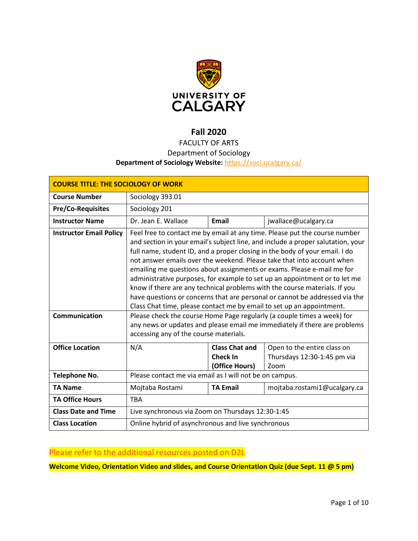

# **Fall 2020**

## FACULTY OF ARTS

### Department of Sociology

### **Department of Sociology Website:<https://soci.ucalgary.ca/>**

| <b>COURSE TITLE: THE SOCIOLOGY OF WORK</b>             |                                                                                                                                                                                                                                                                                                                                                                                                                                                                                                                                                                                                                                                                                                                                                                                                                                                                              |                                                            |                                                                    |
|--------------------------------------------------------|------------------------------------------------------------------------------------------------------------------------------------------------------------------------------------------------------------------------------------------------------------------------------------------------------------------------------------------------------------------------------------------------------------------------------------------------------------------------------------------------------------------------------------------------------------------------------------------------------------------------------------------------------------------------------------------------------------------------------------------------------------------------------------------------------------------------------------------------------------------------------|------------------------------------------------------------|--------------------------------------------------------------------|
| <b>Course Number</b>                                   | Sociology 393.01                                                                                                                                                                                                                                                                                                                                                                                                                                                                                                                                                                                                                                                                                                                                                                                                                                                             |                                                            |                                                                    |
| <b>Pre/Co-Requisites</b>                               | Sociology 201                                                                                                                                                                                                                                                                                                                                                                                                                                                                                                                                                                                                                                                                                                                                                                                                                                                                |                                                            |                                                                    |
| <b>Instructor Name</b>                                 | Dr. Jean E. Wallace                                                                                                                                                                                                                                                                                                                                                                                                                                                                                                                                                                                                                                                                                                                                                                                                                                                          | Email                                                      | jwallace@ucalgary.ca                                               |
| <b>Instructor Email Policy</b><br><b>Communication</b> | Feel free to contact me by email at any time. Please put the course number<br>and section in your email's subject line, and include a proper salutation, your<br>full name, student ID, and a proper closing in the body of your email. I do<br>not answer emails over the weekend. Please take that into account when<br>emailing me questions about assignments or exams. Please e-mail me for<br>administrative purposes, for example to set up an appointment or to let me<br>know if there are any technical problems with the course materials. If you<br>have questions or concerns that are personal or cannot be addressed via the<br>Class Chat time, please contact me by email to set up an appointment.<br>Please check the course Home Page regularly (a couple times a week) for<br>any news or updates and please email me immediately if there are problems |                                                            |                                                                    |
|                                                        | accessing any of the course materials.                                                                                                                                                                                                                                                                                                                                                                                                                                                                                                                                                                                                                                                                                                                                                                                                                                       |                                                            |                                                                    |
| <b>Office Location</b>                                 | N/A                                                                                                                                                                                                                                                                                                                                                                                                                                                                                                                                                                                                                                                                                                                                                                                                                                                                          | <b>Class Chat and</b><br><b>Check In</b><br>(Office Hours) | Open to the entire class on<br>Thursdays 12:30-1:45 pm via<br>Zoom |
| <b>Telephone No.</b>                                   | Please contact me via email as I will not be on campus.                                                                                                                                                                                                                                                                                                                                                                                                                                                                                                                                                                                                                                                                                                                                                                                                                      |                                                            |                                                                    |
| <b>TA Name</b>                                         | Mojtaba Rostami                                                                                                                                                                                                                                                                                                                                                                                                                                                                                                                                                                                                                                                                                                                                                                                                                                                              | <b>TA Email</b>                                            | mojtaba.rostami1@ucalgary.ca                                       |
| <b>TA Office Hours</b>                                 | <b>TBA</b>                                                                                                                                                                                                                                                                                                                                                                                                                                                                                                                                                                                                                                                                                                                                                                                                                                                                   |                                                            |                                                                    |
| <b>Class Date and Time</b>                             | Live synchronous via Zoom on Thursdays 12:30-1:45                                                                                                                                                                                                                                                                                                                                                                                                                                                                                                                                                                                                                                                                                                                                                                                                                            |                                                            |                                                                    |
| <b>Class Location</b>                                  | Online hybrid of asynchronous and live synchronous                                                                                                                                                                                                                                                                                                                                                                                                                                                                                                                                                                                                                                                                                                                                                                                                                           |                                                            |                                                                    |

## Please refer to the additional resources posted on D2L

**Welcome Video, Orientation Video and slides, and Course Orientation Quiz (due Sept. 11 @ 5 pm)**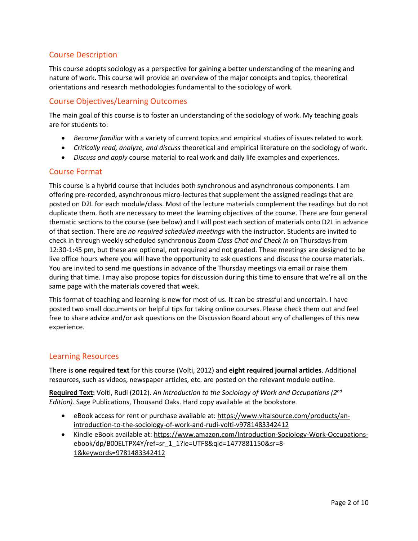### Course Description

This course adopts sociology as a perspective for gaining a better understanding of the meaning and nature of work. This course will provide an overview of the major concepts and topics, theoretical orientations and research methodologies fundamental to the sociology of work.

### Course Objectives/Learning Outcomes

The main goal of this course is to foster an understanding of the sociology of work. My teaching goals are for students to:

- *Become familiar* with a variety of current topics and empirical studies of issues related to work.
- *Critically read, analyze, and discuss* theoretical and empirical literature on the sociology of work.
- *Discuss and apply* course material to real work and daily life examples and experiences.

### Course Format

This course is a hybrid course that includes both synchronous and asynchronous components. I am offering pre-recorded, asynchronous micro-lectures that supplement the assigned readings that are posted on D2L for each module/class. Most of the lecture materials complement the readings but do not duplicate them. Both are necessary to meet the learning objectives of the course. There are four general thematic sections to the course (see below) and I will post each section of materials onto D2L in advance of that section. There are *no required scheduled meetings* with the instructor. Students are invited to check in through weekly scheduled synchronous Zoom *Class Chat and Check In* on Thursdays from 12:30-1:45 pm, but these are optional, not required and not graded. These meetings are designed to be live office hours where you will have the opportunity to ask questions and discuss the course materials. You are invited to send me questions in advance of the Thursday meetings via email or raise them during that time. I may also propose topics for discussion during this time to ensure that we're all on the same page with the materials covered that week.

This format of teaching and learning is new for most of us. It can be stressful and uncertain. I have posted two small documents on helpful tips for taking online courses. Please check them out and feel free to share advice and/or ask questions on the Discussion Board about any of challenges of this new experience.

### Learning Resources

There is **one required text** for this course (Volti, 2012) and **eight required journal articles**. Additional resources, such as videos, newspaper articles, etc. are posted on the relevant module outline.

**Required Text:** Volti, Rudi (2012). *An Introduction to the Sociology of Work and Occupations (2nd Edition)*. Sage Publications, Thousand Oaks. Hard copy available at the bookstore.

- eBook access for rent or purchase available at[: https://www.vitalsource.com/products/an](https://www.vitalsource.com/products/an-introduction-to-the-sociology-of-work-and-rudi-volti-v9781483342412)[introduction-to-the-sociology-of-work-and-rudi-volti-v9781483342412](https://www.vitalsource.com/products/an-introduction-to-the-sociology-of-work-and-rudi-volti-v9781483342412)
- Kindle eBook available at: [https://www.amazon.com/Introduction-Sociology-Work-Occupations](https://www.amazon.com/Introduction-Sociology-Work-Occupations-ebook/dp/B00ELTPX4Y/ref=sr_1_1?ie=UTF8&qid=1477881150&sr=8-1&keywords=9781483342412)[ebook/dp/B00ELTPX4Y/ref=sr\\_1\\_1?ie=UTF8&qid=1477881150&sr=8-](https://www.amazon.com/Introduction-Sociology-Work-Occupations-ebook/dp/B00ELTPX4Y/ref=sr_1_1?ie=UTF8&qid=1477881150&sr=8-1&keywords=9781483342412) [1&keywords=9781483342412](https://www.amazon.com/Introduction-Sociology-Work-Occupations-ebook/dp/B00ELTPX4Y/ref=sr_1_1?ie=UTF8&qid=1477881150&sr=8-1&keywords=9781483342412)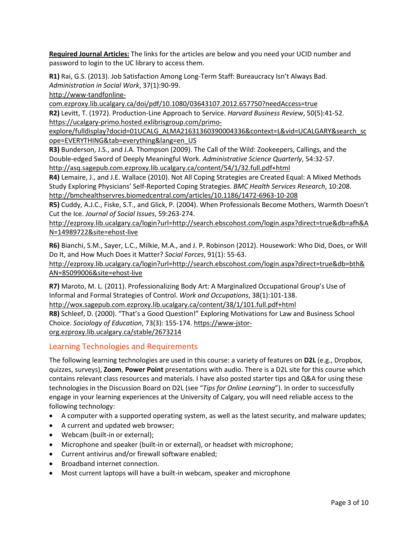**Required Journal Articles:** The links for the articles are below and you need your UCID number and password to login to the UC library to access them.

**R1)** Rai, G.S. (2013). Job Satisfaction Among Long-Term Staff: Bureaucracy Isn't Always Bad. *Administration in Social Work*, 37(1):90-99.

[http://www-tandfonline-](http://www-tandfonline-com.ezproxy.lib.ucalgary.ca/doi/pdf/10.1080/03643107.2012.657750?needAccess=true)

[com.ezproxy.lib.ucalgary.ca/doi/pdf/10.1080/03643107.2012.657750?needAccess=true](http://www-tandfonline-com.ezproxy.lib.ucalgary.ca/doi/pdf/10.1080/03643107.2012.657750?needAccess=true)

**R2)** Levitt, T. (1972). Production-Line Approach to Service. *Harvard Business Review*, 50(5):41-52. [https://ucalgary-primo.hosted.exlibrisgroup.com/primo-](https://ucalgary-primo.hosted.exlibrisgroup.com/primo-explore/fulldisplay?docid=01UCALG_ALMA21631360390004336&context=L&vid=UCALGARY&search_scope=EVERYTHING&tab=everything&lang=en_US)

[explore/fulldisplay?docid=01UCALG\\_ALMA21631360390004336&context=L&vid=UCALGARY&search\\_sc](https://ucalgary-primo.hosted.exlibrisgroup.com/primo-explore/fulldisplay?docid=01UCALG_ALMA21631360390004336&context=L&vid=UCALGARY&search_scope=EVERYTHING&tab=everything&lang=en_US) [ope=EVERYTHING&tab=everything&lang=en\\_US](https://ucalgary-primo.hosted.exlibrisgroup.com/primo-explore/fulldisplay?docid=01UCALG_ALMA21631360390004336&context=L&vid=UCALGARY&search_scope=EVERYTHING&tab=everything&lang=en_US)

**R3)** Bunderson, J.S., and J.A. Thompson (2009). The Call of the Wild: Zookeepers, Callings, and the Double-edged Sword of Deeply Meaningful Work. *Administrative Science Quarterly*, 54:32-57. <http://asq.sagepub.com.ezproxy.lib.ucalgary.ca/content/54/1/32.full.pdf+html>

**R4)** Lemaire, J., and J.E. Wallace (2010). Not All Coping Strategies are Created Equal: A Mixed Methods Study Exploring Physicians' Self-Reported Coping Strategies. *BMC Health Services Research*, 10:208. <http://bmchealthservres.biomedcentral.com/articles/10.1186/1472-6963-10-208>

**R5)** Cuddy, A.J.C., Fiske, S.T., and Glick, P. (2004). When Professionals Become Mothers, Warmth Doesn't Cut the Ice. *Journal of Social Issues*, 59:263-274.

[http://ezproxy.lib.ucalgary.ca/login?url=http://search.ebscohost.com/login.aspx?direct=true&db=afh&A](http://ezproxy.lib.ucalgary.ca/login?url=http://search.ebscohost.com/login.aspx?direct=true&db=afh&AN=14989722&site=ehost-live) [N=14989722&site=ehost-live](http://ezproxy.lib.ucalgary.ca/login?url=http://search.ebscohost.com/login.aspx?direct=true&db=afh&AN=14989722&site=ehost-live)

**R6)** Bianchi, S.M., Sayer, L.C., Milkie, M.A., and J. P. Robinson (2012). Housework: Who Did, Does, or Will Do It, and How Much Does it Matter? *Social Forces*, 91(1): 55-63.

[http://ezproxy.lib.ucalgary.ca/login?url=http://search.ebscohost.com/login.aspx?direct=true&db=bth&](http://ezproxy.lib.ucalgary.ca/login?url=http://search.ebscohost.com/login.aspx?direct=true&db=bth&AN=85099006&site=ehost-live) [AN=85099006&site=ehost-live](http://ezproxy.lib.ucalgary.ca/login?url=http://search.ebscohost.com/login.aspx?direct=true&db=bth&AN=85099006&site=ehost-live)

**R7)** Maroto, M. L. (2011). Professionalizing Body Art: A Marginalized Occupational Group's Use of Informal and Formal Strategies of Control. *Work and Occupations*, 38(1):101-138.

<http://wox.sagepub.com.ezproxy.lib.ucalgary.ca/content/38/1/101.full.pdf+html>

**R8)** Schleef, D. (2000). "That's a Good Question!" Exploring Motivations for Law and Business School Choice. *Sociology of Education*, 73(3): 155-174. [https://www-jstor](https://www-jstor-org.ezproxy.lib.ucalgary.ca/stable/2673214)[org.ezproxy.lib.ucalgary.ca/stable/2673214](https://www-jstor-org.ezproxy.lib.ucalgary.ca/stable/2673214)

### Learning Technologies and Requirements

The following learning technologies are used in this course: a variety of features on **D2L** (e.g., Dropbox, quizzes, surveys), **Zoom**, **Power Point** presentations with audio. There is a D2L site for this course which contains relevant class resources and materials. I have also posted starter tips and Q&A for using these technologies in the Discussion Board on D2L (see "*Tips for Online Learning*"). In order to successfully engage in your learning experiences at the University of Calgary, you will need reliable access to the following technology:

- A computer with a supported operating system, as well as the latest security, and malware updates;
- A current and updated web browser;
- Webcam (built-in or external);
- Microphone and speaker (built-in or external), or headset with microphone;
- Current antivirus and/or firewall software enabled;
- Broadband internet connection.
- Most current laptops will have a built-in webcam, speaker and microphone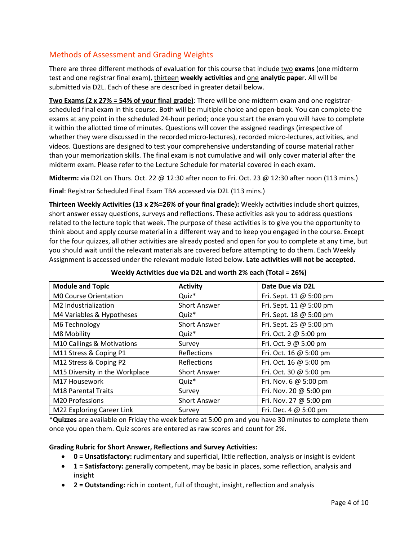## Methods of Assessment and Grading Weights

There are three different methods of evaluation for this course that include two **exams** (one midterm test and one registrar final exam), thirteen **weekly activities** and one **analytic pape**r. All will be submitted via D2L. Each of these are described in greater detail below.

**Two Exams (2 x 27% = 54% of your final grade)**: There will be one midterm exam and one registrarscheduled final exam in this course. Both will be multiple choice and open-book. You can complete the exams at any point in the scheduled 24-hour period; once you start the exam you will have to complete it within the allotted time of minutes. Questions will cover the assigned readings (irrespective of whether they were discussed in the recorded micro-lectures), recorded micro-lectures, activities, and videos. Questions are designed to test your comprehensive understanding of course material rather than your memorization skills. The final exam is not cumulative and will only cover material after the midterm exam. Please refer to the Lecture Schedule for material covered in each exam.

**Midterm:** via D2L on Thurs. Oct. 22 @ 12:30 after noon to Fri. Oct. 23 @ 12:30 after noon (113 mins.)

Final: Registrar Scheduled Final Exam TBA accessed via D2L (113 mins.)

**Thirteen Weekly Activities (13 x 2%=26% of your final grade):** Weekly activities include short quizzes, short answer essay questions, surveys and reflections. These activities ask you to address questions related to the lecture topic that week. The purpose of these activities is to give you the opportunity to think about and apply course material in a different way and to keep you engaged in the course. Except for the four quizzes, all other activities are already posted and open for you to complete at any time, but you should wait until the relevant materials are covered before attempting to do them. Each Weekly Assignment is accessed under the relevant module listed below. **Late activities will not be accepted.**

| <b>Module and Topic</b>          | <b>Activity</b>     | Date Due via D2L        |
|----------------------------------|---------------------|-------------------------|
| M0 Course Orientation            | Quiz <sup>*</sup>   | Fri. Sept. 11 @ 5:00 pm |
| M2 Industrialization             | <b>Short Answer</b> | Fri. Sept. 11 @ 5:00 pm |
| M4 Variables & Hypotheses        | Quiz <sup>*</sup>   | Fri. Sept. 18 @ 5:00 pm |
| M6 Technology                    | <b>Short Answer</b> | Fri. Sept. 25 @ 5:00 pm |
| M8 Mobility                      | Quiz <sup>*</sup>   | Fri. Oct. 2 @ 5:00 pm   |
| M10 Callings & Motivations       | Survey              | Fri. Oct. 9 @ 5:00 pm   |
| M11 Stress & Coping P1           | Reflections         | Fri. Oct. 16 @ 5:00 pm  |
| M12 Stress & Coping P2           | Reflections         | Fri. Oct. 16 @ 5:00 pm  |
| M15 Diversity in the Workplace   | <b>Short Answer</b> | Fri. Oct. 30 @ 5:00 pm  |
| M17 Housework                    | Quiz <sup>*</sup>   | Fri. Nov. 6 @ 5:00 pm   |
| M18 Parental Traits              | Survey              | Fri. Nov. 20 @ 5:00 pm  |
| M20 Professions                  | <b>Short Answer</b> | Fri. Nov. 27 @ 5:00 pm  |
| <b>M22 Exploring Career Link</b> | Survey              | Fri. Dec. 4 @ 5:00 pm   |

**Weekly Activities due via D2L and worth 2% each (Total = 26%)**

\***Quizzes** are available on Friday the week before at 5:00 pm and you have 30 minutes to complete them once you open them. Quiz scores are entered as raw scores and count for 2%.

#### **Grading Rubric for Short Answer, Reflections and Survey Activities:**

- **0 = Unsatisfactory:** rudimentary and superficial, little reflection, analysis or insight is evident
- **1 = Satisfactory:** generally competent, may be basic in places, some reflection, analysis and insight
- **2 = Outstanding:** rich in content, full of thought, insight, reflection and analysis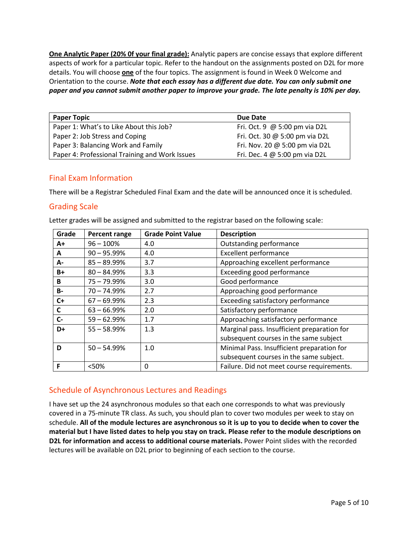**One Analytic Paper (20% 0f your final grade):** Analytic papers are concise essays that explore different aspects of work for a particular topic. Refer to the handout on the assignments posted on D2L for more details. You will choose **one** of the four topics. The assignment is found in Week 0 Welcome and Orientation to the course. *Note that each essay has a different due date. You can only submit one paper and you cannot submit another paper to improve your grade. The late penalty is 10% per day.* 

| <b>Paper Topic</b>                             | Due Date                       |
|------------------------------------------------|--------------------------------|
| Paper 1: What's to Like About this Job?        | Fri. Oct. 9 $@5:00$ pm via D2L |
| Paper 2: Job Stress and Coping                 | Fri. Oct. 30 @ 5:00 pm via D2L |
| Paper 3: Balancing Work and Family             | Fri. Nov. 20 @ 5:00 pm via D2L |
| Paper 4: Professional Training and Work Issues | Fri. Dec. 4 @ 5:00 pm via D2L  |

### Final Exam Information

There will be a Registrar Scheduled Final Exam and the date will be announced once it is scheduled.

### Grading Scale

Letter grades will be assigned and submitted to the registrar based on the following scale:

| Grade     | <b>Percent range</b> | <b>Grade Point Value</b> | <b>Description</b>                          |
|-----------|----------------------|--------------------------|---------------------------------------------|
| A+        | $96 - 100%$          | 4.0                      | Outstanding performance                     |
| A         | $90 - 95.99%$        | 4.0                      | <b>Excellent performance</b>                |
| А-        | $85 - 89.99%$        | 3.7                      | Approaching excellent performance           |
| B+        | $80 - 84.99%$        | 3.3                      | Exceeding good performance                  |
| B         | $75 - 79.99%$        | 3.0                      | Good performance                            |
| <b>B-</b> | $70 - 74.99%$        | 2.7                      | Approaching good performance                |
| $C+$      | $67 - 69.99%$        | 2.3                      | Exceeding satisfactory performance          |
| C         | $63 - 66.99%$        | 2.0                      | Satisfactory performance                    |
| $C -$     | $59 - 62.99%$        | 1.7                      | Approaching satisfactory performance        |
| D+        | $55 - 58.99%$        | 1.3                      | Marginal pass. Insufficient preparation for |
|           |                      |                          | subsequent courses in the same subject      |
| D         | $50 - 54.99%$        | 1.0                      | Minimal Pass. Insufficient preparation for  |
|           |                      |                          | subsequent courses in the same subject.     |
| F         | <50%                 | 0                        | Failure. Did not meet course requirements.  |

### Schedule of Asynchronous Lectures and Readings

I have set up the 24 asynchronous modules so that each one corresponds to what was previously covered in a 75-minute TR class. As such, you should plan to cover two modules per week to stay on schedule. **All of the module lectures are asynchronous so it is up to you to decide when to cover the material but I have listed dates to help you stay on track. Please refer to the module descriptions on D2L for information and access to additional course materials.** Power Point slides with the recorded lectures will be available on D2L prior to beginning of each section to the course.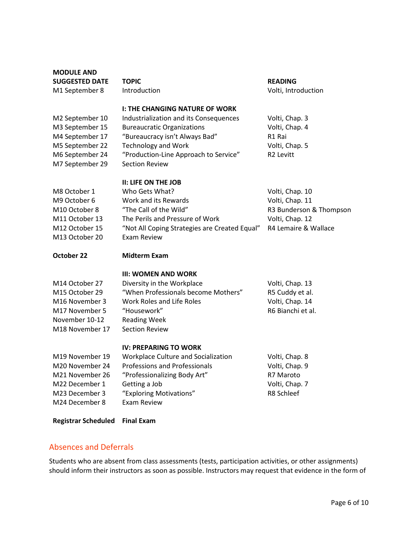| <b>MODULE AND</b>                |                                                                                 |                                    |
|----------------------------------|---------------------------------------------------------------------------------|------------------------------------|
| <b>SUGGESTED DATE</b>            | <b>TOPIC</b>                                                                    | <b>READING</b>                     |
| M1 September 8                   | Introduction                                                                    | Volti, Introduction                |
|                                  |                                                                                 |                                    |
| M2 September 10                  | <b>I: THE CHANGING NATURE OF WORK</b><br>Industrialization and its Consequences | Volti, Chap. 3                     |
| M3 September 15                  | <b>Bureaucratic Organizations</b>                                               | Volti, Chap. 4                     |
| M4 September 17                  | "Bureaucracy isn't Always Bad"                                                  | R1 Rai                             |
| M5 September 22                  | <b>Technology and Work</b>                                                      | Volti, Chap. 5                     |
| M6 September 24                  | "Production-Line Approach to Service"                                           | R <sub>2</sub> Levitt              |
| M7 September 29                  | <b>Section Review</b>                                                           |                                    |
|                                  |                                                                                 |                                    |
|                                  | <b>II: LIFE ON THE JOB</b>                                                      |                                    |
| M8 October 1                     | Who Gets What?                                                                  | Volti, Chap. 10                    |
| M9 October 6                     | Work and its Rewards                                                            | Volti, Chap. 11                    |
| M10 October 8                    | "The Call of the Wild"                                                          | R3 Bunderson & Thompson            |
| M11 October 13                   | The Perils and Pressure of Work                                                 | Volti, Chap. 12                    |
| M12 October 15                   | "Not All Coping Strategies are Created Equal"                                   | R4 Lemaire & Wallace               |
| M13 October 20                   | <b>Exam Review</b>                                                              |                                    |
|                                  |                                                                                 |                                    |
| October 22                       | <b>Midterm Exam</b>                                                             |                                    |
|                                  | <b>III: WOMEN AND WORK</b>                                                      |                                    |
| M14 October 27                   |                                                                                 |                                    |
| M15 October 29                   | Diversity in the Workplace<br>"When Professionals become Mothers"               | Volti, Chap. 13<br>R5 Cuddy et al. |
| M <sub>16</sub> November 3       | Work Roles and Life Roles                                                       | Volti, Chap. 14                    |
| M17 November 5                   | "Housework"                                                                     | R6 Bianchi et al.                  |
| November 10-12                   | <b>Reading Week</b>                                                             |                                    |
| M18 November 17                  | <b>Section Review</b>                                                           |                                    |
|                                  |                                                                                 |                                    |
|                                  | <b>IV: PREPARING TO WORK</b>                                                    |                                    |
| M19 November 19                  | Workplace Culture and Socialization                                             | Volti, Chap. 8                     |
| M20 November 24                  | <b>Professions and Professionals</b>                                            | Volti, Chap. 9                     |
| M21 November 26                  | "Professionalizing Body Art"                                                    | R7 Maroto                          |
| M22 December 1                   | Getting a Job                                                                   | Volti, Chap. 7                     |
| M23 December 3<br>M24 December 8 | "Exploring Motivations"<br><b>Exam Review</b>                                   | R8 Schleef                         |
| <b>Registrar Scheduled</b>       | <b>Final Exam</b>                                                               |                                    |

## Absences and Deferrals

Students who are absent from class assessments (tests, participation activities, or other assignments) should inform their instructors as soon as possible. Instructors may request that evidence in the form of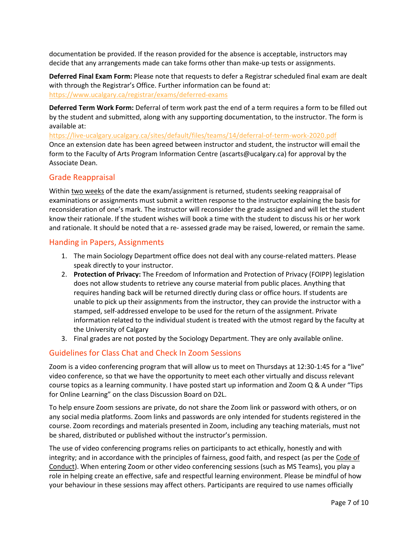documentation be provided. If the reason provided for the absence is acceptable, instructors may decide that any arrangements made can take forms other than make-up tests or assignments.

**Deferred Final Exam Form:** Please note that requests to defer a Registrar scheduled final exam are dealt with through the Registrar's Office. Further information can be found at: <https://www.ucalgary.ca/registrar/exams/deferred-exams>

**Deferred Term Work Form:** Deferral of term work past the end of a term requires a form to be filled out by the student and submitted, along with any supporting documentation, to the instructor. The form is available at:

<https://live-ucalgary.ucalgary.ca/sites/default/files/teams/14/deferral-of-term-work-2020.pdf> Once an extension date has been agreed between instructor and student, the instructor will email the form to the Faculty of Arts Program Information Centre (ascarts@ucalgary.ca) for approval by the Associate Dean.

### Grade Reappraisal

Within two weeks of the date the exam/assignment is returned, students seeking reappraisal of examinations or assignments must submit a written response to the instructor explaining the basis for reconsideration of one's mark. The instructor will reconsider the grade assigned and will let the student know their rationale. If the student wishes will book a time with the student to discuss his or her work and rationale. It should be noted that a re- assessed grade may be raised, lowered, or remain the same.

### Handing in Papers, Assignments

- 1. The main Sociology Department office does not deal with any course-related matters. Please speak directly to your instructor.
- 2. **Protection of Privacy:** The Freedom of Information and Protection of Privacy (FOIPP) legislation does not allow students to retrieve any course material from public places. Anything that requires handing back will be returned directly during class or office hours. If students are unable to pick up their assignments from the instructor, they can provide the instructor with a stamped, self-addressed envelope to be used for the return of the assignment. Private information related to the individual student is treated with the utmost regard by the faculty at the University of Calgary
- 3. Final grades are not posted by the Sociology Department. They are only available online.

### Guidelines for Class Chat and Check In Zoom Sessions

Zoom is a video conferencing program that will allow us to meet on Thursdays at 12:30-1:45 for a "live" video conference, so that we have the opportunity to meet each other virtually and discuss relevant course topics as a learning community. I have posted start up information and Zoom Q & A under "Tips for Online Learning" on the class Discussion Board on D2L.

To help ensure Zoom sessions are private, do not share the Zoom link or password with others, or on any social media platforms. Zoom links and passwords are only intended for students registered in the course. Zoom recordings and materials presented in Zoom, including any teaching materials, must not be shared, distributed or published without the instructor's permission.

The use of video conferencing programs relies on participants to act ethically, honestly and with integrity; and in accordance with the principles of fairness, good faith, and respect (as per the Code of [Conduct\)](https://www.ucalgary.ca/policies/files/policies/code-of-conduct.pdf). When entering Zoom or other video conferencing sessions (such as MS Teams), you play a role in helping create an effective, safe and respectful learning environment. Please be mindful of how your behaviour in these sessions may affect others. Participants are required to use names officially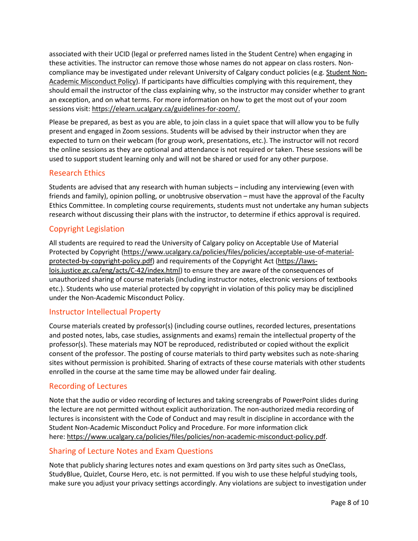associated with their UCID (legal or preferred names listed in the Student Centre) when engaging in these activities. The instructor can remove those whose names do not appear on class rosters. Noncompliance may be investigated under relevant University of Calgary conduct policies (e.g. [Student Non-](https://ucalgary.ca/policies/files/policies/non-academic-misconduct-policy.pdf)[Academic Misconduct Policy\)](https://ucalgary.ca/policies/files/policies/non-academic-misconduct-policy.pdf). If participants have difficulties complying with this requirement, they should email the instructor of the class explaining why, so the instructor may consider whether to grant an exception, and on what terms. For more information on how to get the most out of your zoom sessions visit[: https://elearn.ucalgary.ca/guidelines-for-zoom/.](https://elearn.ucalgary.ca/guidelines-for-zoom/)

Please be prepared, as best as you are able, to join class in a quiet space that will allow you to be fully present and engaged in Zoom sessions. Students will be advised by their instructor when they are expected to turn on their webcam (for group work, presentations, etc.). The instructor will not record the online sessions as they are optional and attendance is not required or taken. These sessions will be used to support student learning only and will not be shared or used for any other purpose.

### Research Ethics

Students are advised that any research with human subjects – including any interviewing (even with friends and family), opinion polling, or unobtrusive observation – must have the approval of the Faculty Ethics Committee. In completing course requirements, students must not undertake any human subjects research without discussing their plans with the instructor, to determine if ethics approval is required.

### Copyright Legislation

All students are required to read the University of Calgary policy on Acceptable Use of Material Protected by Copyright [\(https://www.ucalgary.ca/policies/files/policies/acceptable-use-of-material](https://www.ucalgary.ca/policies/files/policies/acceptable-use-of-material-protected-by-copyright-policy.pdf)[protected-by-copyright-policy.pdf\)](https://www.ucalgary.ca/policies/files/policies/acceptable-use-of-material-protected-by-copyright-policy.pdf) and requirements of the Copyright Act [\(https://laws](https://laws-lois.justice.gc.ca/eng/acts/C-42/index.html)[lois.justice.gc.ca/eng/acts/C-42/index.html\)](https://laws-lois.justice.gc.ca/eng/acts/C-42/index.html) to ensure they are aware of the consequences of unauthorized sharing of course materials (including instructor notes, electronic versions of textbooks etc.). Students who use material protected by copyright in violation of this policy may be disciplined under the Non-Academic Misconduct Policy.

### Instructor Intellectual Property

Course materials created by professor(s) (including course outlines, recorded lectures, presentations and posted notes, labs, case studies, assignments and exams) remain the intellectual property of the professor(s). These materials may NOT be reproduced, redistributed or copied without the explicit consent of the professor. The posting of course materials to third party websites such as note-sharing sites without permission is prohibited. Sharing of extracts of these course materials with other students enrolled in the course at the same time may be allowed under fair dealing.

### Recording of Lectures

Note that the audio or video recording of lectures and taking screengrabs of PowerPoint slides during the lecture are not permitted without explicit authorization. The non-authorized media recording of lectures is inconsistent with the Code of Conduct and may result in discipline in accordance with the Student Non-Academic Misconduct Policy and Procedure. For more information click here: [https://www.ucalgary.ca/policies/files/policies/non-academic-misconduct-policy.pdf.](https://www.ucalgary.ca/policies/files/policies/non-academic-misconduct-policy.pdf)

### Sharing of Lecture Notes and Exam Questions

Note that publicly sharing lectures notes and exam questions on 3rd party sites such as OneClass, StudyBlue, Quizlet, Course Hero, etc. is not permitted. If you wish to use these helpful studying tools, make sure you adjust your privacy settings accordingly. Any violations are subject to investigation under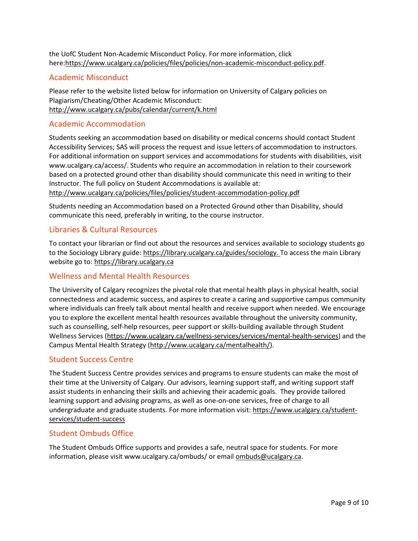the UofC Student Non-Academic Misconduct Policy. For more information, click here[:https://www.ucalgary.ca/policies/files/policies/non-academic-misconduct-policy.pdf.](https://www.ucalgary.ca/policies/files/policies/non-academic-misconduct-policy.pdf)

### Academic Misconduct

Please refer to the website listed below for information on University of Calgary policies on Plagiarism/Cheating/Other Academic Misconduct: <http://www.ucalgary.ca/pubs/calendar/current/k.html>

### Academic Accommodation

Students seeking an accommodation based on disability or medical concerns should contact Student Accessibility Services; SAS will process the request and issue letters of accommodation to instructors. For additional information on support services and accommodations for students with disabilities, visit www.ucalgary.ca/access/. Students who require an accommodation in relation to their coursework based on a protected ground other than disability should communicate this need in writing to their Instructor. The full policy on Student Accommodations is available at: <http://www.ucalgary.ca/policies/files/policies/student-accommodation-policy.pdf>

Students needing an Accommodation based on a Protected Ground other than Disability, should communicate this need, preferably in writing, to the course instructor.

### Libraries & Cultural Resources

To contact your librarian or find out about the resources and services available to sociology students go to the Sociology Library guide[: https://library.ucalgary.ca/guides/sociology.](https://library.ucalgary.ca/guides/sociology) To access the main Library website go to: [https://library.ucalgary.ca](https://library.ucalgary.ca/)

### Wellness and Mental Health Resources

The University of Calgary recognizes the pivotal role that mental health plays in physical health, social connectedness and academic success, and aspires to create a caring and supportive campus community where individuals can freely talk about mental health and receive support when needed. We encourage you to explore the excellent mental health resources available throughout the university community, such as counselling, self-help resources, peer support or skills-building available through Student Wellness Services [\(https://www.ucalgary.ca/wellness-services/services/mental-health-services\)](https://www.ucalgary.ca/wellness-services/services/mental-health-services) and the Campus Mental Health Strategy [\(http://www.ucalgary.ca/mentalhealth/\)](http://www.ucalgary.ca/mentalhealth/).

### Student Success Centre

The Student Success Centre provides services and programs to ensure students can make the most of their time at the University of Calgary. Our advisors, learning support staff, and writing support staff assist students in enhancing their skills and achieving their academic goals. They provide tailored learning support and advising programs, as well as one-on-one services, free of charge to all undergraduate and graduate students. For more information visit: [https://www.ucalgary.ca/student](https://www.ucalgary.ca/student-services/student-success)[services/student-success](https://www.ucalgary.ca/student-services/student-success)

### Student Ombuds Office

The Student Ombuds Office supports and provides a safe, neutral space for students. For more information, please visit www.ucalgary.ca/ombuds/ or email [ombuds@ucalgary.ca.](file://trifs1.uc.ucalgary.ca/SOCI/Admin/07_Course%20Outlines/ombuds@ucalgary.ca)